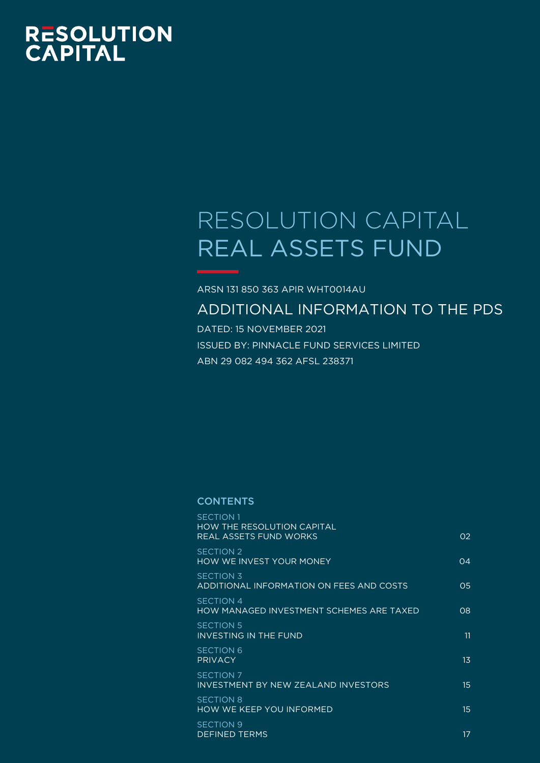# RESOLUTION<br>CAPITAL

# RESOLUTION CAPITAL REAL ASSETS FUND

ARSN 131 850 363 APIR WHT0014AU ADDITIONAL INFORMATION TO THE PDS

DATED: 15 NOVEMBER 2021 ISSUED BY: PINNACLE FUND SERVICES LIMITED ABN 29 082 494 362 AFSL 238371

#### **CONTENTS**

| <b>SECTION 1</b><br><b>HOW THE RESOLUTION CAPITAL</b><br>REAL ASSETS FUND WORKS | O <sub>2</sub> |
|---------------------------------------------------------------------------------|----------------|
| <b>SECTION 2</b><br>HOW WE INVEST YOUR MONEY                                    | 04             |
| <b>SECTION 3</b><br>ADDITIONAL INFORMATION ON FEES AND COSTS                    | O <sub>5</sub> |
| SECTION 4<br>HOW MANAGED INVESTMENT SCHEMES ARE TAXED                           | 08             |
| <b>SECTION 5</b><br>INVESTING IN THE FUND                                       | 11             |
| <b>SECTION 6</b><br><b>PRIVACY</b>                                              | 1 <sub>3</sub> |
| <b>SECTION 7</b><br>INVESTMENT BY NEW ZEALAND INVESTORS                         | 15             |
| <b>SECTION 8</b><br><b>HOW WE KEEP YOU INFORMED</b>                             | 15             |
| <b>SECTION 9</b><br><b>DEFINED TERMS</b>                                        | 17             |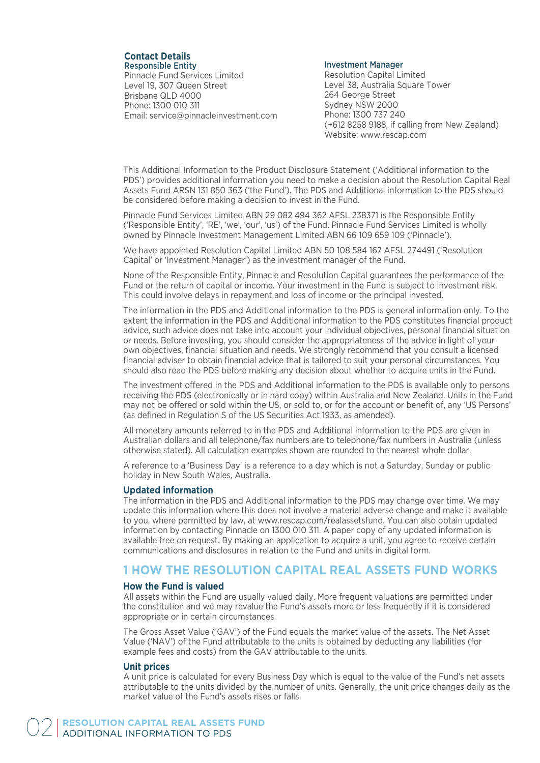#### **Contact Details** Responsible Entity

Pinnacle Fund Services Limited Level 19, 307 Queen Street Brisbane QLD 4000 Phone: 1300 010 311 Email: service@pinnacleinvestment.com

#### Investment Manager

Resolution Capital Limited Level 38, Australia Square Tower 264 George Street Sydney NSW 2000 Phone: 1300 737 240 (+612 8258 9188, if calling from New Zealand) Website: www.rescap.com

This Additional Information to the Product Disclosure Statement ('Additional information to the PDS') provides additional information you need to make a decision about the Resolution Capital Real Assets Fund ARSN 131 850 363 ('the Fund'). The PDS and Additional information to the PDS should be considered before making a decision to invest in the Fund.

Pinnacle Fund Services Limited ABN 29 082 494 362 AFSL 238371 is the Responsible Entity ('Responsible Entity', 'RE', 'we', 'our', 'us') of the Fund. Pinnacle Fund Services Limited is wholly owned by Pinnacle Investment Management Limited ABN 66 109 659 109 ('Pinnacle').

We have appointed Resolution Capital Limited ABN 50 108 584 167 AFSL 274491 ('Resolution Capital' or 'Investment Manager') as the investment manager of the Fund.

None of the Responsible Entity, Pinnacle and Resolution Capital guarantees the performance of the Fund or the return of capital or income. Your investment in the Fund is subject to investment risk. This could involve delays in repayment and loss of income or the principal invested.

The information in the PDS and Additional information to the PDS is general information only. To the extent the information in the PDS and Additional information to the PDS constitutes financial product advice, such advice does not take into account your individual objectives, personal financial situation or needs. Before investing, you should consider the appropriateness of the advice in light of your own objectives, financial situation and needs. We strongly recommend that you consult a licensed financial adviser to obtain financial advice that is tailored to suit your personal circumstances. You should also read the PDS before making any decision about whether to acquire units in the Fund.

The investment offered in the PDS and Additional information to the PDS is available only to persons receiving the PDS (electronically or in hard copy) within Australia and New Zealand. Units in the Fund may not be offered or sold within the US, or sold to, or for the account or benefit of, any 'US Persons' (as defined in Regulation S of the US Securities Act 1933, as amended).

All monetary amounts referred to in the PDS and Additional information to the PDS are given in Australian dollars and all telephone/fax numbers are to telephone/fax numbers in Australia (unless otherwise stated). All calculation examples shown are rounded to the nearest whole dollar.

A reference to a 'Business Day' is a reference to a day which is not a Saturday, Sunday or public holiday in New South Wales, Australia.

#### **Updated information**

The information in the PDS and Additional information to the PDS may change over time. We may update this information where this does not involve a material adverse change and make it available to you, where permitted by law, at www.rescap.com/realassetsfund. You can also obtain updated information by contacting Pinnacle on 1300 010 311. A paper copy of any updated information is available free on request. By making an application to acquire a unit, you agree to receive certain communications and disclosures in relation to the Fund and units in digital form.

# **1 HOW THE RESOLUTION CAPITAL REAL ASSETS FUND WORKS**

#### **How the Fund is valued**

All assets within the Fund are usually valued daily. More frequent valuations are permitted under the constitution and we may revalue the Fund's assets more or less frequently if it is considered appropriate or in certain circumstances.

The Gross Asset Value ('GAV') of the Fund equals the market value of the assets. The Net Asset Value ('NAV') of the Fund attributable to the units is obtained by deducting any liabilities (for example fees and costs) from the GAV attributable to the units.

#### **Unit prices**

A unit price is calculated for every Business Day which is equal to the value of the Fund's net assets attributable to the units divided by the number of units. Generally, the unit price changes daily as the market value of the Fund's assets rises or falls.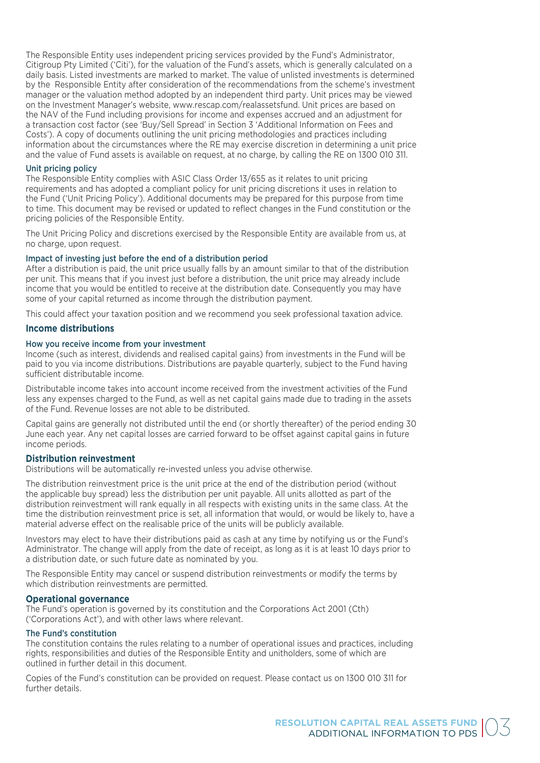The Responsible Entity uses independent pricing services provided by the Fund's Administrator, Citigroup Pty Limited ('Citi'), for the valuation of the Fund's assets, which is generally calculated on a daily basis. Listed investments are marked to market. The value of unlisted investments is determined by the Responsible Entity after consideration of the recommendations from the scheme's investment manager or the valuation method adopted by an independent third party. Unit prices may be viewed on the Investment Manager's website, www.rescap.com/realassetsfund. Unit prices are based on the NAV of the Fund including provisions for income and expenses accrued and an adjustment for a transaction cost factor (see 'Buy/Sell Spread' in Section 3 'Additional Information on Fees and Costs'). A copy of documents outlining the unit pricing methodologies and practices including information about the circumstances where the RE may exercise discretion in determining a unit price and the value of Fund assets is available on request, at no charge, by calling the RE on 1300 010 311.

#### Unit pricing policy

The Responsible Entity complies with ASIC Class Order 13/655 as it relates to unit pricing requirements and has adopted a compliant policy for unit pricing discretions it uses in relation to the Fund ('Unit Pricing Policy'). Additional documents may be prepared for this purpose from time to time. This document may be revised or updated to reflect changes in the Fund constitution or the pricing policies of the Responsible Entity.

The Unit Pricing Policy and discretions exercised by the Responsible Entity are available from us, at no charge, upon request.

#### Impact of investing just before the end of a distribution period

After a distribution is paid, the unit price usually falls by an amount similar to that of the distribution per unit. This means that if you invest just before a distribution, the unit price may already include income that you would be entitled to receive at the distribution date. Consequently you may have some of your capital returned as income through the distribution payment.

This could affect your taxation position and we recommend you seek professional taxation advice.

#### **Income distributions**

#### How you receive income from your investment

Income (such as interest, dividends and realised capital gains) from investments in the Fund will be paid to you via income distributions. Distributions are payable quarterly, subject to the Fund having sufficient distributable income.

Distributable income takes into account income received from the investment activities of the Fund less any expenses charged to the Fund, as well as net capital gains made due to trading in the assets of the Fund. Revenue losses are not able to be distributed.

Capital gains are generally not distributed until the end (or shortly thereafter) of the period ending 30 June each year. Any net capital losses are carried forward to be offset against capital gains in future income periods.

#### **Distribution reinvestment**

Distributions will be automatically re-invested unless you advise otherwise.

The distribution reinvestment price is the unit price at the end of the distribution period (without the applicable buy spread) less the distribution per unit payable. All units allotted as part of the distribution reinvestment will rank equally in all respects with existing units in the same class. At the time the distribution reinvestment price is set, all information that would, or would be likely to, have a material adverse effect on the realisable price of the units will be publicly available.

Investors may elect to have their distributions paid as cash at any time by notifying us or the Fund's Administrator. The change will apply from the date of receipt, as long as it is at least 10 days prior to a distribution date, or such future date as nominated by you.

The Responsible Entity may cancel or suspend distribution reinvestments or modify the terms by which distribution reinvestments are permitted.

#### **Operational governance**

The Fund's operation is governed by its constitution and the Corporations Act 2001 (Cth) ('Corporations Act'), and with other laws where relevant.

#### The Fund's constitution

The constitution contains the rules relating to a number of operational issues and practices, including rights, responsibilities and duties of the Responsible Entity and unitholders, some of which are outlined in further detail in this document.

Copies of the Fund's constitution can be provided on request. Please contact us on 1300 010 311 for further details.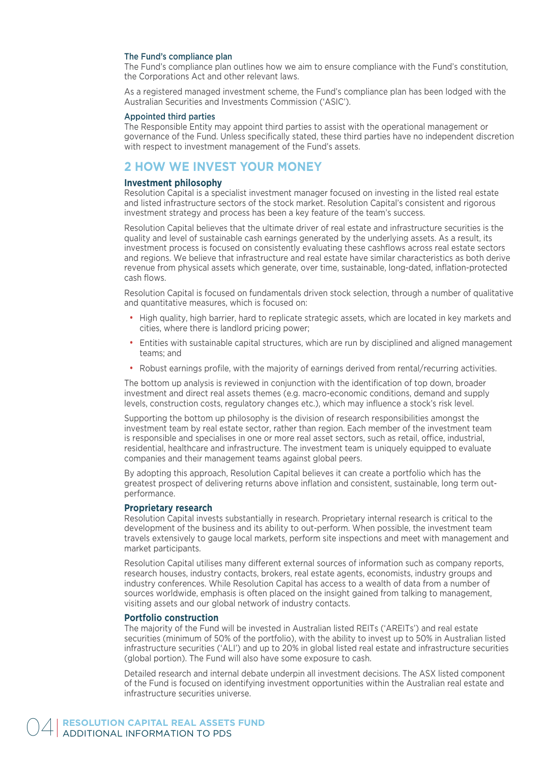#### The Fund's compliance plan

The Fund's compliance plan outlines how we aim to ensure compliance with the Fund's constitution, the Corporations Act and other relevant laws.

As a registered managed investment scheme, the Fund's compliance plan has been lodged with the Australian Securities and Investments Commission ('ASIC').

#### Appointed third parties

The Responsible Entity may appoint third parties to assist with the operational management or governance of the Fund. Unless specifically stated, these third parties have no independent discretion with respect to investment management of the Fund's assets.

## **2 HOW WE INVEST YOUR MONEY**

#### **Investment philosophy**

Resolution Capital is a specialist investment manager focused on investing in the listed real estate and listed infrastructure sectors of the stock market. Resolution Capital's consistent and rigorous investment strategy and process has been a key feature of the team's success.

Resolution Capital believes that the ultimate driver of real estate and infrastructure securities is the quality and level of sustainable cash earnings generated by the underlying assets. As a result, its investment process is focused on consistently evaluating these cashflows across real estate sectors and regions. We believe that infrastructure and real estate have similar characteristics as both derive revenue from physical assets which generate, over time, sustainable, long-dated, inflation-protected cash flows.

Resolution Capital is focused on fundamentals driven stock selection, through a number of qualitative and quantitative measures, which is focused on:

- High quality, high barrier, hard to replicate strategic assets, which are located in key markets and cities, where there is landlord pricing power;
- Entities with sustainable capital structures, which are run by disciplined and aligned management teams; and
- Robust earnings profile, with the majority of earnings derived from rental/recurring activities.

The bottom up analysis is reviewed in conjunction with the identification of top down, broader investment and direct real assets themes (e.g. macro-economic conditions, demand and supply levels, construction costs, regulatory changes etc.), which may influence a stock's risk level.

Supporting the bottom up philosophy is the division of research responsibilities amongst the investment team by real estate sector, rather than region. Each member of the investment team is responsible and specialises in one or more real asset sectors, such as retail, office, industrial, residential, healthcare and infrastructure. The investment team is uniquely equipped to evaluate companies and their management teams against global peers.

By adopting this approach, Resolution Capital believes it can create a portfolio which has the greatest prospect of delivering returns above inflation and consistent, sustainable, long term outperformance.

#### **Proprietary research**

Resolution Capital invests substantially in research. Proprietary internal research is critical to the development of the business and its ability to out-perform. When possible, the investment team travels extensively to gauge local markets, perform site inspections and meet with management and market participants.

Resolution Capital utilises many different external sources of information such as company reports, research houses, industry contacts, brokers, real estate agents, economists, industry groups and industry conferences. While Resolution Capital has access to a wealth of data from a number of sources worldwide, emphasis is often placed on the insight gained from talking to management, visiting assets and our global network of industry contacts.

#### **Portfolio construction**

The majority of the Fund will be invested in Australian listed REITs ('AREITs') and real estate securities (minimum of 50% of the portfolio), with the ability to invest up to 50% in Australian listed infrastructure securities ('ALI') and up to 20% in global listed real estate and infrastructure securities (global portion). The Fund will also have some exposure to cash.

Detailed research and internal debate underpin all investment decisions. The ASX listed component of the Fund is focused on identifying investment opportunities within the Australian real estate and infrastructure securities universe.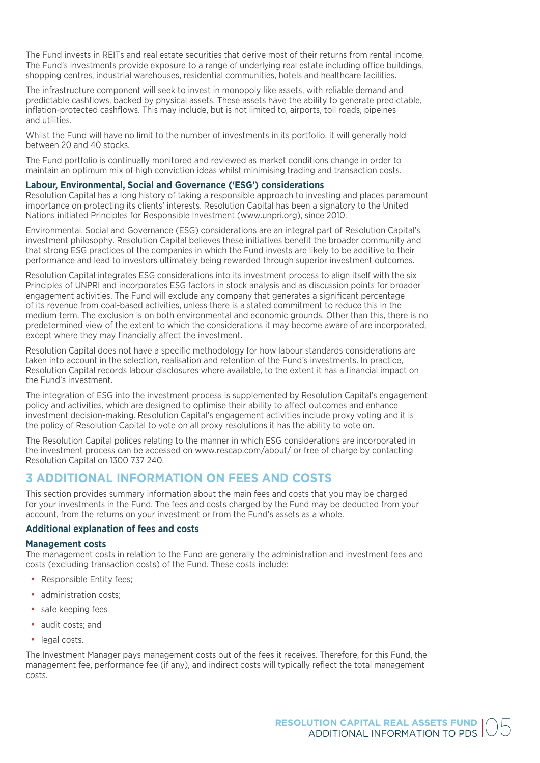The Fund invests in REITs and real estate securities that derive most of their returns from rental income. The Fund's investments provide exposure to a range of underlying real estate including office buildings, shopping centres, industrial warehouses, residential communities, hotels and healthcare facilities.

The infrastructure component will seek to invest in monopoly like assets, with reliable demand and predictable cashflows, backed by physical assets. These assets have the ability to generate predictable, inflation-protected cashflows. This may include, but is not limited to, airports, toll roads, pipeines and utilities.

Whilst the Fund will have no limit to the number of investments in its portfolio, it will generally hold between 20 and 40 stocks.

The Fund portfolio is continually monitored and reviewed as market conditions change in order to maintain an optimum mix of high conviction ideas whilst minimising trading and transaction costs.

#### **Labour, Environmental, Social and Governance ('ESG') considerations**

Resolution Capital has a long history of taking a responsible approach to investing and places paramount importance on protecting its clients' interests. Resolution Capital has been a signatory to the United Nations initiated Principles for Responsible Investment (www.unpri.org), since 2010.

Environmental, Social and Governance (ESG) considerations are an integral part of Resolution Capital's investment philosophy. Resolution Capital believes these initiatives benefit the broader community and that strong ESG practices of the companies in which the Fund invests are likely to be additive to their performance and lead to investors ultimately being rewarded through superior investment outcomes.

Resolution Capital integrates ESG considerations into its investment process to align itself with the six Principles of UNPRI and incorporates ESG factors in stock analysis and as discussion points for broader engagement activities. The Fund will exclude any company that generates a significant percentage of its revenue from coal-based activities, unless there is a stated commitment to reduce this in the medium term. The exclusion is on both environmental and economic grounds. Other than this, there is no predetermined view of the extent to which the considerations it may become aware of are incorporated, except where they may financially affect the investment.

Resolution Capital does not have a specific methodology for how labour standards considerations are taken into account in the selection, realisation and retention of the Fund's investments. In practice, Resolution Capital records labour disclosures where available, to the extent it has a financial impact on the Fund's investment.

The integration of ESG into the investment process is supplemented by Resolution Capital's engagement policy and activities, which are designed to optimise their ability to affect outcomes and enhance investment decision-making. Resolution Capital's engagement activities include proxy voting and it is the policy of Resolution Capital to vote on all proxy resolutions it has the ability to vote on.

The Resolution Capital polices relating to the manner in which ESG considerations are incorporated in the investment process can be accessed on www.rescap.com/about/ or free of charge by contacting Resolution Capital on 1300 737 240.

# **3 ADDITIONAL INFORMATION ON FEES AND COSTS**

This section provides summary information about the main fees and costs that you may be charged for your investments in the Fund. The fees and costs charged by the Fund may be deducted from your account, from the returns on your investment or from the Fund's assets as a whole.

#### **Additional explanation of fees and costs**

#### **Management costs**

The management costs in relation to the Fund are generally the administration and investment fees and costs (excluding transaction costs) of the Fund. These costs include:

- Responsible Entity fees;
- administration costs;
- safe keeping fees
- audit costs; and
- legal costs.

The Investment Manager pays management costs out of the fees it receives. Therefore, for this Fund, the management fee, performance fee (if any), and indirect costs will typically reflect the total management costs.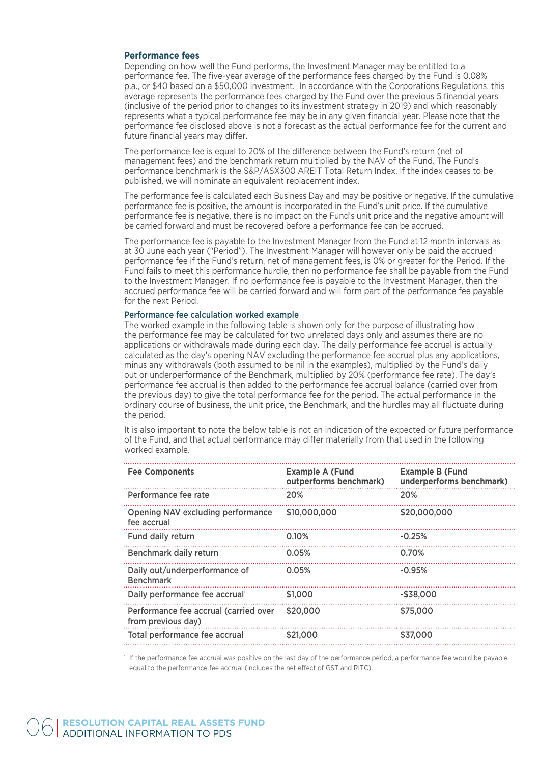#### **Performance fees**

Depending on how well the Fund performs, the Investment Manager may be entitled to a performance fee. The five-year average of the performance fees charged by the Fund is 0.08% p.a., or \$40 based on a \$50,000 investment. In accordance with the Corporations Regulations, this average represents the performance fees charged by the Fund over the previous 5 financial years (inclusive of the period prior to changes to its investment strategy in 2019) and which reasonably represents what a typical performance fee may be in any given financial year. Please note that the performance fee disclosed above is not a forecast as the actual performance fee for the current and future financial years may differ.

The performance fee is equal to 20% of the difference between the Fund's return (net of management fees) and the benchmark return multiplied by the NAV of the Fund. The Fund's performance benchmark is the S&P/ASX300 AREIT Total Return Index. If the index ceases to be published, we will nominate an equivalent replacement index.

The performance fee is calculated each Business Day and may be positive or negative. If the cumulative performance fee is positive, the amount is incorporated in the Fund's unit price. If the cumulative performance fee is negative, there is no impact on the Fund's unit price and the negative amount will be carried forward and must be recovered before a performance fee can be accrued.

The performance fee is payable to the Investment Manager from the Fund at 12 month intervals as at 30 June each year ("Period"). The Investment Manager will however only be paid the accrued performance fee if the Fund's return, net of management fees, is 0% or greater for the Period. If the Fund fails to meet this performance hurdle, then no performance fee shall be payable from the Fund to the Investment Manager. If no performance fee is payable to the Investment Manager, then the accrued performance fee will be carried forward and will form part of the performance fee payable for the next Period.

#### Performance fee calculation worked example

The worked example in the following table is shown only for the purpose of illustrating how the performance fee may be calculated for two unrelated days only and assumes there are no applications or withdrawals made during each day. The daily performance fee accrual is actually calculated as the day's opening NAV excluding the performance fee accrual plus any applications, minus any withdrawals (both assumed to be nil in the examples), multiplied by the Fund's daily out or underperformance of the Benchmark, multiplied by 20% (performance fee rate). The day's performance fee accrual is then added to the performance fee accrual balance (carried over from the previous day) to give the total performance fee for the period. The actual performance in the ordinary course of business, the unit price, the Benchmark, and the hurdles may all fluctuate during the period.

It is also important to note the below table is not an indication of the expected or future performance of the Fund, and that actual performance may differ materially from that used in the following worked example.

| <b>Fee Components</b>                                       | <b>Example A (Fund</b><br>outperforms benchmark) | <b>Example B (Fund</b><br>underperforms benchmark) |
|-------------------------------------------------------------|--------------------------------------------------|----------------------------------------------------|
| Performance fee rate                                        | 20%                                              | 20%                                                |
| <b>Opening NAV excluding performance</b><br>fee accrual     | \$10,000,000                                     | \$20,000,000                                       |
| <b>Fund daily return</b>                                    | 0.10%                                            | $-0.25%$                                           |
| Benchmark daily return                                      | 0.05%                                            | 0.70%                                              |
| Daily out/underperformance of<br><b>Benchmark</b>           | 0.05%                                            | $-0.95%$                                           |
| Daily performance fee accrual <sup>1</sup>                  | \$1,000                                          | -\$38,000                                          |
| Performance fee accrual (carried over<br>from previous day) | \$20,000                                         | \$75,000                                           |
| Total performance fee accrual                               | \$21,000                                         | \$37,000                                           |

<sup>1</sup>. If the performance fee accrual was positive on the last day of the performance period, a performance fee would be payable equal to the performance fee accrual (includes the net effect of GST and RITC).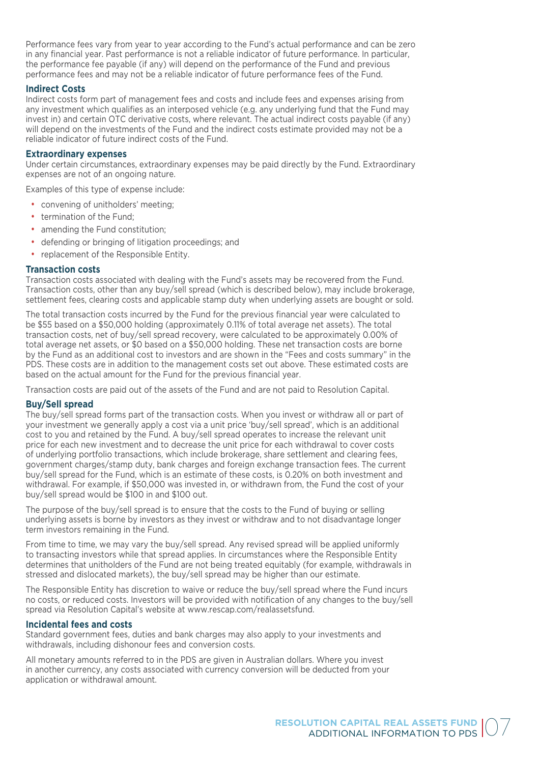Performance fees vary from year to year according to the Fund's actual performance and can be zero in any financial year. Past performance is not a reliable indicator of future performance. In particular, the performance fee payable (if any) will depend on the performance of the Fund and previous performance fees and may not be a reliable indicator of future performance fees of the Fund.

#### **Indirect Costs**

Indirect costs form part of management fees and costs and include fees and expenses arising from any investment which qualifies as an interposed vehicle (e.g. any underlying fund that the Fund may invest in) and certain OTC derivative costs, where relevant. The actual indirect costs payable (if any) will depend on the investments of the Fund and the indirect costs estimate provided may not be a reliable indicator of future indirect costs of the Fund.

#### **Extraordinary expenses**

Under certain circumstances, extraordinary expenses may be paid directly by the Fund. Extraordinary expenses are not of an ongoing nature.

Examples of this type of expense include:

- convening of unitholders' meeting;
- termination of the Fund:
- amending the Fund constitution:
- defending or bringing of litigation proceedings; and
- replacement of the Responsible Entity.

#### **Transaction costs**

Transaction costs associated with dealing with the Fund's assets may be recovered from the Fund. Transaction costs, other than any buy/sell spread (which is described below), may include brokerage, settlement fees, clearing costs and applicable stamp duty when underlying assets are bought or sold.

The total transaction costs incurred by the Fund for the previous financial year were calculated to be \$55 based on a \$50,000 holding (approximately 0.11% of total average net assets). The total transaction costs, net of buy/sell spread recovery, were calculated to be approximately 0.00% of total average net assets, or \$0 based on a \$50,000 holding. These net transaction costs are borne by the Fund as an additional cost to investors and are shown in the "Fees and costs summary" in the PDS. These costs are in addition to the management costs set out above. These estimated costs are based on the actual amount for the Fund for the previous financial year.

Transaction costs are paid out of the assets of the Fund and are not paid to Resolution Capital.

#### **Buy/Sell spread**

The buy/sell spread forms part of the transaction costs. When you invest or withdraw all or part of your investment we generally apply a cost via a unit price 'buy/sell spread', which is an additional cost to you and retained by the Fund. A buy/sell spread operates to increase the relevant unit price for each new investment and to decrease the unit price for each withdrawal to cover costs of underlying portfolio transactions, which include brokerage, share settlement and clearing fees, government charges/stamp duty, bank charges and foreign exchange transaction fees. The current buy/sell spread for the Fund, which is an estimate of these costs, is 0.20% on both investment and withdrawal. For example, if \$50,000 was invested in, or withdrawn from, the Fund the cost of your buy/sell spread would be \$100 in and \$100 out.

The purpose of the buy/sell spread is to ensure that the costs to the Fund of buying or selling underlying assets is borne by investors as they invest or withdraw and to not disadvantage longer term investors remaining in the Fund.

From time to time, we may vary the buy/sell spread. Any revised spread will be applied uniformly to transacting investors while that spread applies. In circumstances where the Responsible Entity determines that unitholders of the Fund are not being treated equitably (for example, withdrawals in stressed and dislocated markets), the buy/sell spread may be higher than our estimate.

The Responsible Entity has discretion to waive or reduce the buy/sell spread where the Fund incurs no costs, or reduced costs. Investors will be provided with notification of any changes to the buy/sell spread via Resolution Capital's website at www.rescap.com/realassetsfund.

#### **Incidental fees and costs**

Standard government fees, duties and bank charges may also apply to your investments and withdrawals, including dishonour fees and conversion costs.

All monetary amounts referred to in the PDS are given in Australian dollars. Where you invest in another currency, any costs associated with currency conversion will be deducted from your application or withdrawal amount.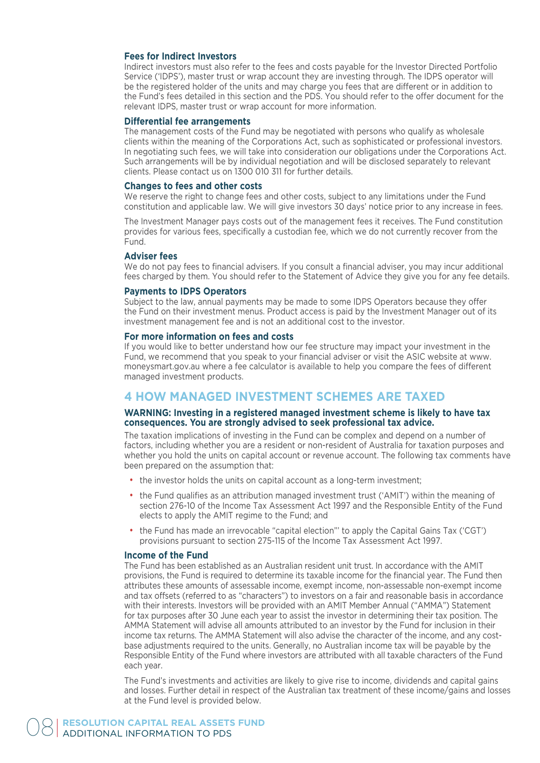#### **Fees for Indirect Investors**

Indirect investors must also refer to the fees and costs payable for the Investor Directed Portfolio Service ('IDPS'), master trust or wrap account they are investing through. The IDPS operator will be the registered holder of the units and may charge you fees that are different or in addition to the Fund's fees detailed in this section and the PDS. You should refer to the offer document for the relevant IDPS, master trust or wrap account for more information.

#### **Differential fee arrangements**

The management costs of the Fund may be negotiated with persons who qualify as wholesale clients within the meaning of the Corporations Act, such as sophisticated or professional investors. In negotiating such fees, we will take into consideration our obligations under the Corporations Act. Such arrangements will be by individual negotiation and will be disclosed separately to relevant clients. Please contact us on 1300 010 311 for further details.

#### **Changes to fees and other costs**

We reserve the right to change fees and other costs, subject to any limitations under the Fund constitution and applicable law. We will give investors 30 days' notice prior to any increase in fees.

The Investment Manager pays costs out of the management fees it receives. The Fund constitution provides for various fees, specifically a custodian fee, which we do not currently recover from the Fund.

#### **Adviser fees**

We do not pay fees to financial advisers. If you consult a financial adviser, you may incur additional fees charged by them. You should refer to the Statement of Advice they give you for any fee details.

#### **Payments to IDPS Operators**

Subject to the law, annual payments may be made to some IDPS Operators because they offer the Fund on their investment menus. Product access is paid by the Investment Manager out of its investment management fee and is not an additional cost to the investor.

#### **For more information on fees and costs**

If you would like to better understand how our fee structure may impact your investment in the Fund, we recommend that you speak to your financial adviser or visit the ASIC website at www. moneysmart.gov.au where a fee calculator is available to help you compare the fees of different managed investment products.

## **4 HOW MANAGED INVESTMENT SCHEMES ARE TAXED**

#### **WARNING: Investing in a registered managed investment scheme is likely to have tax consequences. You are strongly advised to seek professional tax advice.**

The taxation implications of investing in the Fund can be complex and depend on a number of factors, including whether you are a resident or non-resident of Australia for taxation purposes and whether you hold the units on capital account or revenue account. The following tax comments have been prepared on the assumption that:

- the investor holds the units on capital account as a long-term investment;
- the Fund qualifies as an attribution managed investment trust ('AMIT') within the meaning of section 276-10 of the Income Tax Assessment Act 1997 and the Responsible Entity of the Fund elects to apply the AMIT regime to the Fund; and
- the Fund has made an irrevocable "capital election"' to apply the Capital Gains Tax ('CGT') provisions pursuant to section 275-115 of the Income Tax Assessment Act 1997.

#### **Income of the Fund**

The Fund has been established as an Australian resident unit trust. In accordance with the AMIT provisions, the Fund is required to determine its taxable income for the financial year. The Fund then attributes these amounts of assessable income, exempt income, non-assessable non-exempt income and tax offsets (referred to as "characters") to investors on a fair and reasonable basis in accordance with their interests. Investors will be provided with an AMIT Member Annual ("AMMA") Statement for tax purposes after 30 June each year to assist the investor in determining their tax position. The AMMA Statement will advise all amounts attributed to an investor by the Fund for inclusion in their income tax returns. The AMMA Statement will also advise the character of the income, and any costbase adjustments required to the units. Generally, no Australian income tax will be payable by the Responsible Entity of the Fund where investors are attributed with all taxable characters of the Fund each year.

The Fund's investments and activities are likely to give rise to income, dividends and capital gains and losses. Further detail in respect of the Australian tax treatment of these income/gains and losses at the Fund level is provided below.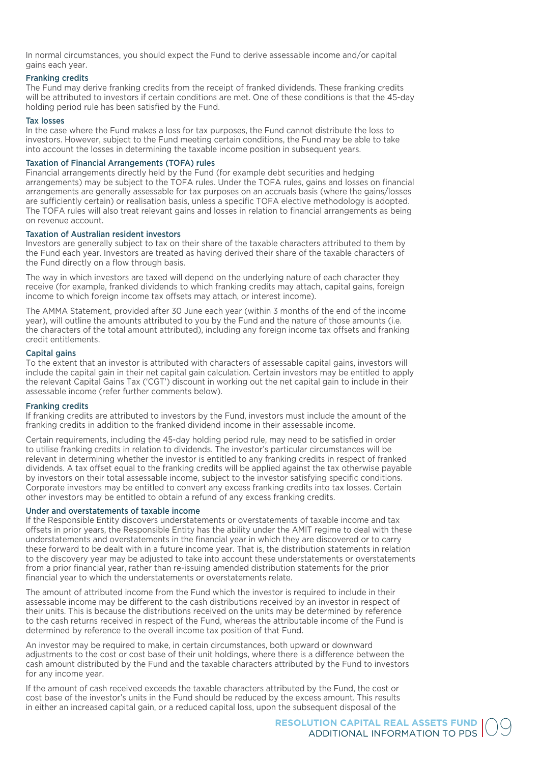In normal circumstances, you should expect the Fund to derive assessable income and/or capital gains each year.

#### Franking credits

The Fund may derive franking credits from the receipt of franked dividends. These franking credits will be attributed to investors if certain conditions are met. One of these conditions is that the 45-day holding period rule has been satisfied by the Fund.

#### Tax losses

In the case where the Fund makes a loss for tax purposes, the Fund cannot distribute the loss to investors. However, subject to the Fund meeting certain conditions, the Fund may be able to take into account the losses in determining the taxable income position in subsequent years.

#### Taxation of Financial Arrangements (TOFA) rules

Financial arrangements directly held by the Fund (for example debt securities and hedging arrangements) may be subject to the TOFA rules. Under the TOFA rules, gains and losses on financial arrangements are generally assessable for tax purposes on an accruals basis (where the gains/losses are sufficiently certain) or realisation basis, unless a specific TOFA elective methodology is adopted. The TOFA rules will also treat relevant gains and losses in relation to financial arrangements as being on revenue account.

#### Taxation of Australian resident investors

Investors are generally subject to tax on their share of the taxable characters attributed to them by the Fund each year. Investors are treated as having derived their share of the taxable characters of the Fund directly on a flow through basis.

The way in which investors are taxed will depend on the underlying nature of each character they receive (for example, franked dividends to which franking credits may attach, capital gains, foreign income to which foreign income tax offsets may attach, or interest income).

The AMMA Statement, provided after 30 June each year (within 3 months of the end of the income year), will outline the amounts attributed to you by the Fund and the nature of those amounts (i.e. the characters of the total amount attributed), including any foreign income tax offsets and franking credit entitlements.

#### Capital gains

To the extent that an investor is attributed with characters of assessable capital gains, investors will include the capital gain in their net capital gain calculation. Certain investors may be entitled to apply the relevant Capital Gains Tax ('CGT') discount in working out the net capital gain to include in their assessable income (refer further comments below).

#### Franking credits

If franking credits are attributed to investors by the Fund, investors must include the amount of the franking credits in addition to the franked dividend income in their assessable income.

Certain requirements, including the 45-day holding period rule, may need to be satisfied in order to utilise franking credits in relation to dividends. The investor's particular circumstances will be relevant in determining whether the investor is entitled to any franking credits in respect of franked dividends. A tax offset equal to the franking credits will be applied against the tax otherwise payable by investors on their total assessable income, subject to the investor satisfying specific conditions. Corporate investors may be entitled to convert any excess franking credits into tax losses. Certain other investors may be entitled to obtain a refund of any excess franking credits.

#### Under and overstatements of taxable income

If the Responsible Entity discovers understatements or overstatements of taxable income and tax offsets in prior years, the Responsible Entity has the ability under the AMIT regime to deal with these understatements and overstatements in the financial year in which they are discovered or to carry these forward to be dealt with in a future income year. That is, the distribution statements in relation to the discovery year may be adjusted to take into account these understatements or overstatements from a prior financial year, rather than re-issuing amended distribution statements for the prior financial year to which the understatements or overstatements relate.

The amount of attributed income from the Fund which the investor is required to include in their assessable income may be different to the cash distributions received by an investor in respect of their units. This is because the distributions received on the units may be determined by reference to the cash returns received in respect of the Fund, whereas the attributable income of the Fund is determined by reference to the overall income tax position of that Fund.

An investor may be required to make, in certain circumstances, both upward or downward adjustments to the cost or cost base of their unit holdings, where there is a difference between the cash amount distributed by the Fund and the taxable characters attributed by the Fund to investors for any income year.

If the amount of cash received exceeds the taxable characters attributed by the Fund, the cost or cost base of the investor's units in the Fund should be reduced by the excess amount. This results in either an increased capital gain, or a reduced capital loss, upon the subsequent disposal of the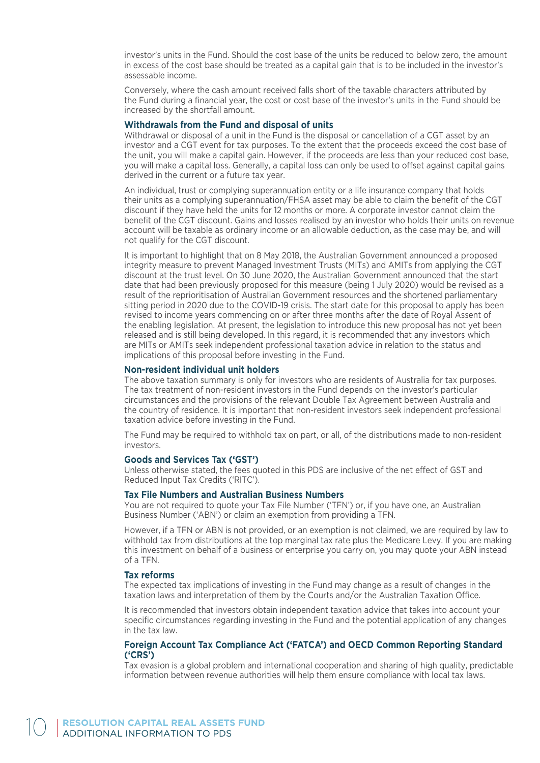investor's units in the Fund. Should the cost base of the units be reduced to below zero, the amount in excess of the cost base should be treated as a capital gain that is to be included in the investor's assessable income.

Conversely, where the cash amount received falls short of the taxable characters attributed by the Fund during a financial year, the cost or cost base of the investor's units in the Fund should be increased by the shortfall amount.

#### **Withdrawals from the Fund and disposal of units**

Withdrawal or disposal of a unit in the Fund is the disposal or cancellation of a CGT asset by an investor and a CGT event for tax purposes. To the extent that the proceeds exceed the cost base of the unit, you will make a capital gain. However, if the proceeds are less than your reduced cost base, you will make a capital loss. Generally, a capital loss can only be used to offset against capital gains derived in the current or a future tax year.

An individual, trust or complying superannuation entity or a life insurance company that holds their units as a complying superannuation/FHSA asset may be able to claim the benefit of the CGT discount if they have held the units for 12 months or more. A corporate investor cannot claim the benefit of the CGT discount. Gains and losses realised by an investor who holds their units on revenue account will be taxable as ordinary income or an allowable deduction, as the case may be, and will not qualify for the CGT discount.

It is important to highlight that on 8 May 2018, the Australian Government announced a proposed integrity measure to prevent Managed Investment Trusts (MITs) and AMITs from applying the CGT discount at the trust level. On 30 June 2020, the Australian Government announced that the start date that had been previously proposed for this measure (being 1 July 2020) would be revised as a result of the reprioritisation of Australian Government resources and the shortened parliamentary sitting period in 2020 due to the COVID-19 crisis. The start date for this proposal to apply has been revised to income years commencing on or after three months after the date of Royal Assent of the enabling legislation. At present, the legislation to introduce this new proposal has not yet been released and is still being developed. In this regard, it is recommended that any investors which are MITs or AMITs seek independent professional taxation advice in relation to the status and implications of this proposal before investing in the Fund.

#### **Non-resident individual unit holders**

The above taxation summary is only for investors who are residents of Australia for tax purposes. The tax treatment of non-resident investors in the Fund depends on the investor's particular circumstances and the provisions of the relevant Double Tax Agreement between Australia and the country of residence. It is important that non-resident investors seek independent professional taxation advice before investing in the Fund.

The Fund may be required to withhold tax on part, or all, of the distributions made to non-resident investors.

#### **Goods and Services Tax ('GST')**

Unless otherwise stated, the fees quoted in this PDS are inclusive of the net effect of GST and Reduced Input Tax Credits ('RITC').

#### **Tax File Numbers and Australian Business Numbers**

You are not required to quote your Tax File Number ('TFN') or, if you have one, an Australian Business Number ('ABN') or claim an exemption from providing a TFN.

However, if a TFN or ABN is not provided, or an exemption is not claimed, we are required by law to withhold tax from distributions at the top marginal tax rate plus the Medicare Levy. If you are making this investment on behalf of a business or enterprise you carry on, you may quote your ABN instead of a TFN.

#### **Tax reforms**

The expected tax implications of investing in the Fund may change as a result of changes in the taxation laws and interpretation of them by the Courts and/or the Australian Taxation Office.

It is recommended that investors obtain independent taxation advice that takes into account your specific circumstances regarding investing in the Fund and the potential application of any changes in the tax law.

#### **Foreign Account Tax Compliance Act ('FATCA') and OECD Common Reporting Standard ('CRS')**

Tax evasion is a global problem and international cooperation and sharing of high quality, predictable information between revenue authorities will help them ensure compliance with local tax laws.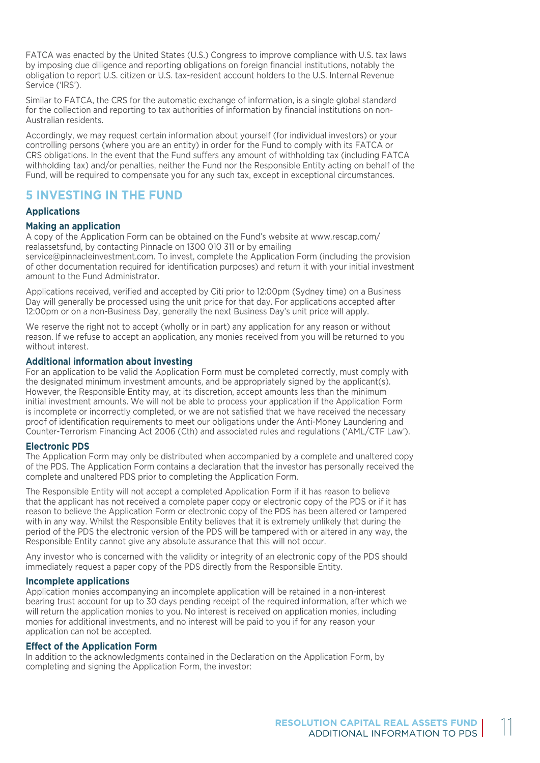FATCA was enacted by the United States (U.S.) Congress to improve compliance with U.S. tax laws by imposing due diligence and reporting obligations on foreign financial institutions, notably the obligation to report U.S. citizen or U.S. tax-resident account holders to the U.S. Internal Revenue Service ('IRS').

Similar to FATCA, the CRS for the automatic exchange of information, is a single global standard for the collection and reporting to tax authorities of information by financial institutions on non-Australian residents.

Accordingly, we may request certain information about yourself (for individual investors) or your controlling persons (where you are an entity) in order for the Fund to comply with its FATCA or CRS obligations. In the event that the Fund suffers any amount of withholding tax (including FATCA withholding tax) and/or penalties, neither the Fund nor the Responsible Entity acting on behalf of the Fund, will be required to compensate you for any such tax, except in exceptional circumstances.

# **5 INVESTING IN THE FUND**

#### **Applications**

#### **Making an application**

A copy of the Application Form can be obtained on the Fund's website at www.rescap.com/ realassetsfund, by contacting Pinnacle on 1300 010 311 or by emailing service@pinnacleinvestment.com. To invest, complete the Application Form (including the provision of other documentation required for identification purposes) and return it with your initial investment amount to the Fund Administrator.

Applications received, verified and accepted by Citi prior to 12:00pm (Sydney time) on a Business Day will generally be processed using the unit price for that day. For applications accepted after 12:00pm or on a non-Business Day, generally the next Business Day's unit price will apply.

We reserve the right not to accept (wholly or in part) any application for any reason or without reason. If we refuse to accept an application, any monies received from you will be returned to you without interest

#### **Additional information about investing**

For an application to be valid the Application Form must be completed correctly, must comply with the designated minimum investment amounts, and be appropriately signed by the applicant(s). However, the Responsible Entity may, at its discretion, accept amounts less than the minimum initial investment amounts. We will not be able to process your application if the Application Form is incomplete or incorrectly completed, or we are not satisfied that we have received the necessary proof of identification requirements to meet our obligations under the Anti-Money Laundering and Counter-Terrorism Financing Act 2006 (Cth) and associated rules and regulations ('AML/CTF Law').

#### **Electronic PDS**

The Application Form may only be distributed when accompanied by a complete and unaltered copy of the PDS. The Application Form contains a declaration that the investor has personally received the complete and unaltered PDS prior to completing the Application Form.

The Responsible Entity will not accept a completed Application Form if it has reason to believe that the applicant has not received a complete paper copy or electronic copy of the PDS or if it has reason to believe the Application Form or electronic copy of the PDS has been altered or tampered with in any way. Whilst the Responsible Entity believes that it is extremely unlikely that during the period of the PDS the electronic version of the PDS will be tampered with or altered in any way, the Responsible Entity cannot give any absolute assurance that this will not occur.

Any investor who is concerned with the validity or integrity of an electronic copy of the PDS should immediately request a paper copy of the PDS directly from the Responsible Entity.

#### **Incomplete applications**

Application monies accompanying an incomplete application will be retained in a non-interest bearing trust account for up to 30 days pending receipt of the required information, after which we will return the application monies to you. No interest is received on application monies, including monies for additional investments, and no interest will be paid to you if for any reason your application can not be accepted.

#### **Effect of the Application Form**

In addition to the acknowledgments contained in the Declaration on the Application Form, by completing and signing the Application Form, the investor: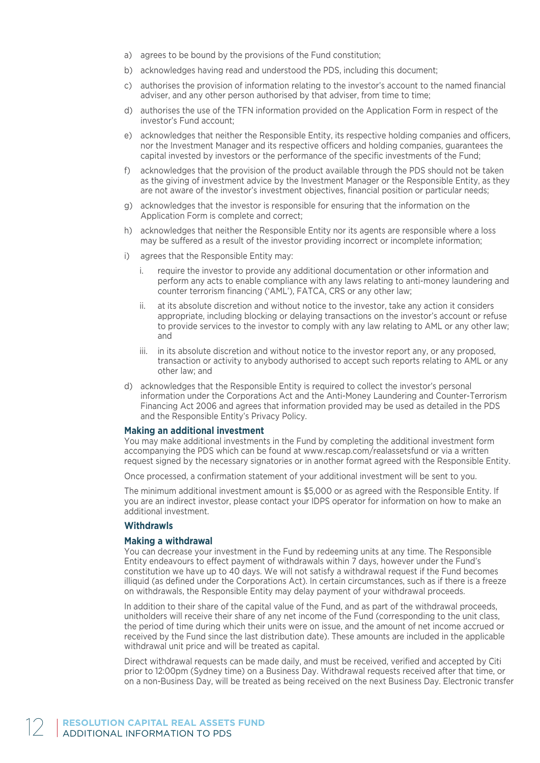- a) agrees to be bound by the provisions of the Fund constitution;
- b) acknowledges having read and understood the PDS, including this document;
- c) authorises the provision of information relating to the investor's account to the named financial adviser, and any other person authorised by that adviser, from time to time;
- d) authorises the use of the TFN information provided on the Application Form in respect of the investor's Fund account;
- e) acknowledges that neither the Responsible Entity, its respective holding companies and officers, nor the Investment Manager and its respective officers and holding companies, guarantees the capital invested by investors or the performance of the specific investments of the Fund;
- f) acknowledges that the provision of the product available through the PDS should not be taken as the giving of investment advice by the Investment Manager or the Responsible Entity, as they are not aware of the investor's investment objectives, financial position or particular needs;
- g) acknowledges that the investor is responsible for ensuring that the information on the Application Form is complete and correct;
- h) acknowledges that neither the Responsible Entity nor its agents are responsible where a loss may be suffered as a result of the investor providing incorrect or incomplete information;
- i) agrees that the Responsible Entity may:
	- i. require the investor to provide any additional documentation or other information and perform any acts to enable compliance with any laws relating to anti-money laundering and counter terrorism financing ('AML'), FATCA, CRS or any other law;
	- ii. at its absolute discretion and without notice to the investor, take any action it considers appropriate, including blocking or delaying transactions on the investor's account or refuse to provide services to the investor to comply with any law relating to AML or any other law; and
	- iii. in its absolute discretion and without notice to the investor report any, or any proposed, transaction or activity to anybody authorised to accept such reports relating to AML or any other law; and
- d) acknowledges that the Responsible Entity is required to collect the investor's personal information under the Corporations Act and the Anti-Money Laundering and Counter-Terrorism Financing Act 2006 and agrees that information provided may be used as detailed in the PDS and the Responsible Entity's Privacy Policy.

#### **Making an additional investment**

You may make additional investments in the Fund by completing the additional investment form accompanying the PDS which can be found at www.rescap.com/realassetsfund or via a written request signed by the necessary signatories or in another format agreed with the Responsible Entity.

Once processed, a confirmation statement of your additional investment will be sent to you.

The minimum additional investment amount is \$5,000 or as agreed with the Responsible Entity. If you are an indirect investor, please contact your IDPS operator for information on how to make an additional investment.

#### **Withdrawls**

#### **Making a withdrawal**

You can decrease your investment in the Fund by redeeming units at any time. The Responsible Entity endeavours to effect payment of withdrawals within 7 days, however under the Fund's constitution we have up to 40 days. We will not satisfy a withdrawal request if the Fund becomes illiquid (as defined under the Corporations Act). In certain circumstances, such as if there is a freeze on withdrawals, the Responsible Entity may delay payment of your withdrawal proceeds.

In addition to their share of the capital value of the Fund, and as part of the withdrawal proceeds, unitholders will receive their share of any net income of the Fund (corresponding to the unit class, the period of time during which their units were on issue, and the amount of net income accrued or received by the Fund since the last distribution date). These amounts are included in the applicable withdrawal unit price and will be treated as capital.

Direct withdrawal requests can be made daily, and must be received, verified and accepted by Citi prior to 12:00pm (Sydney time) on a Business Day. Withdrawal requests received after that time, or on a non-Business Day, will be treated as being received on the next Business Day. Electronic transfer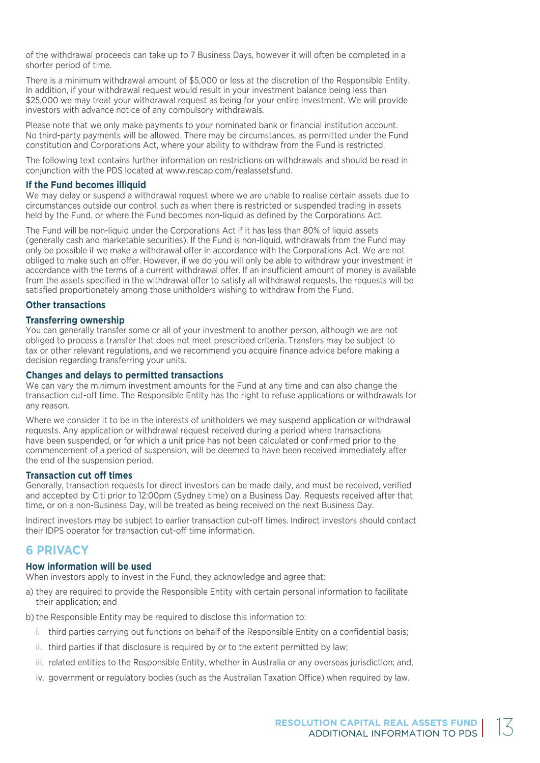of the withdrawal proceeds can take up to 7 Business Days, however it will often be completed in a shorter period of time.

There is a minimum withdrawal amount of \$5,000 or less at the discretion of the Responsible Entity. In addition, if your withdrawal request would result in your investment balance being less than \$25,000 we may treat your withdrawal request as being for your entire investment. We will provide investors with advance notice of any compulsory withdrawals.

Please note that we only make payments to your nominated bank or financial institution account. No third-party payments will be allowed. There may be circumstances, as permitted under the Fund constitution and Corporations Act, where your ability to withdraw from the Fund is restricted.

The following text contains further information on restrictions on withdrawals and should be read in conjunction with the PDS located at www.rescap.com/realassetsfund.

#### **If the Fund becomes illiquid**

We may delay or suspend a withdrawal request where we are unable to realise certain assets due to circumstances outside our control, such as when there is restricted or suspended trading in assets held by the Fund, or where the Fund becomes non-liquid as defined by the Corporations Act.

The Fund will be non-liquid under the Corporations Act if it has less than 80% of liquid assets (generally cash and marketable securities). If the Fund is non-liquid, withdrawals from the Fund may only be possible if we make a withdrawal offer in accordance with the Corporations Act. We are not obliged to make such an offer. However, if we do you will only be able to withdraw your investment in accordance with the terms of a current withdrawal offer. If an insufficient amount of money is available from the assets specified in the withdrawal offer to satisfy all withdrawal requests, the requests will be satisfied proportionately among those unitholders wishing to withdraw from the Fund.

#### **Other transactions**

#### **Transferring ownership**

You can generally transfer some or all of your investment to another person, although we are not obliged to process a transfer that does not meet prescribed criteria. Transfers may be subject to tax or other relevant regulations, and we recommend you acquire finance advice before making a decision regarding transferring your units.

#### **Changes and delays to permitted transactions**

We can vary the minimum investment amounts for the Fund at any time and can also change the transaction cut-off time. The Responsible Entity has the right to refuse applications or withdrawals for any reason.

Where we consider it to be in the interests of unitholders we may suspend application or withdrawal requests. Any application or withdrawal request received during a period where transactions have been suspended, or for which a unit price has not been calculated or confirmed prior to the commencement of a period of suspension, will be deemed to have been received immediately after the end of the suspension period.

#### **Transaction cut off times**

Generally, transaction requests for direct investors can be made daily, and must be received, verified and accepted by Citi prior to 12:00pm (Sydney time) on a Business Day. Requests received after that time, or on a non-Business Day, will be treated as being received on the next Business Day.

Indirect investors may be subject to earlier transaction cut-off times. Indirect investors should contact their IDPS operator for transaction cut-off time information.

# **6 PRIVACY**

#### **How information will be used**

When investors apply to invest in the Fund, they acknowledge and agree that:

- a) they are required to provide the Responsible Entity with certain personal information to facilitate their application; and
- b) the Responsible Entity may be required to disclose this information to:
	- i. third parties carrying out functions on behalf of the Responsible Entity on a confidential basis;
	- ii. third parties if that disclosure is required by or to the extent permitted by law;
	- iii. related entities to the Responsible Entity, whether in Australia or any overseas jurisdiction; and,
	- iv. government or regulatory bodies (such as the Australian Taxation Office) when required by law.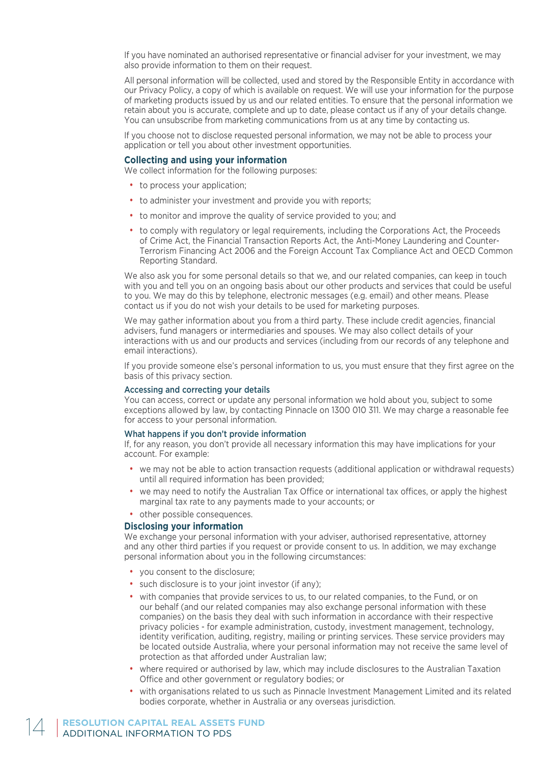If you have nominated an authorised representative or financial adviser for your investment, we may also provide information to them on their request.

All personal information will be collected, used and stored by the Responsible Entity in accordance with our Privacy Policy, a copy of which is available on request. We will use your information for the purpose of marketing products issued by us and our related entities. To ensure that the personal information we retain about you is accurate, complete and up to date, please contact us if any of your details change. You can unsubscribe from marketing communications from us at any time by contacting us.

If you choose not to disclose requested personal information, we may not be able to process your application or tell you about other investment opportunities.

#### **Collecting and using your information**

We collect information for the following purposes:

- to process your application:
- to administer your investment and provide you with reports;
- to monitor and improve the quality of service provided to you; and
- to comply with regulatory or legal requirements, including the Corporations Act, the Proceeds of Crime Act, the Financial Transaction Reports Act, the Anti-Money Laundering and Counter-Terrorism Financing Act 2006 and the Foreign Account Tax Compliance Act and OECD Common Reporting Standard.

We also ask you for some personal details so that we, and our related companies, can keep in touch with you and tell you on an ongoing basis about our other products and services that could be useful to you. We may do this by telephone, electronic messages (e.g. email) and other means. Please contact us if you do not wish your details to be used for marketing purposes.

We may gather information about you from a third party. These include credit agencies, financial advisers, fund managers or intermediaries and spouses. We may also collect details of your interactions with us and our products and services (including from our records of any telephone and email interactions).

If you provide someone else's personal information to us, you must ensure that they first agree on the basis of this privacy section.

#### Accessing and correcting your details

You can access, correct or update any personal information we hold about you, subject to some exceptions allowed by law, by contacting Pinnacle on 1300 010 311. We may charge a reasonable fee for access to your personal information.

#### What happens if you don't provide information

If, for any reason, you don't provide all necessary information this may have implications for your account. For example:

- we may not be able to action transaction requests (additional application or withdrawal requests) until all required information has been provided;
- we may need to notify the Australian Tax Office or international tax offices, or apply the highest marginal tax rate to any payments made to your accounts; or
- other possible consequences.

#### **Disclosing your information**

We exchange your personal information with your adviser, authorised representative, attorney and any other third parties if you request or provide consent to us. In addition, we may exchange personal information about you in the following circumstances:

- you consent to the disclosure;
- such disclosure is to your joint investor (if any);
- with companies that provide services to us, to our related companies, to the Fund, or on our behalf (and our related companies may also exchange personal information with these companies) on the basis they deal with such information in accordance with their respective privacy policies - for example administration, custody, investment management, technology, identity verification, auditing, registry, mailing or printing services. These service providers may be located outside Australia, where your personal information may not receive the same level of protection as that afforded under Australian law;
- where required or authorised by law, which may include disclosures to the Australian Taxation Office and other government or regulatory bodies; or
- with organisations related to us such as Pinnacle Investment Management Limited and its related bodies corporate, whether in Australia or any overseas jurisdiction.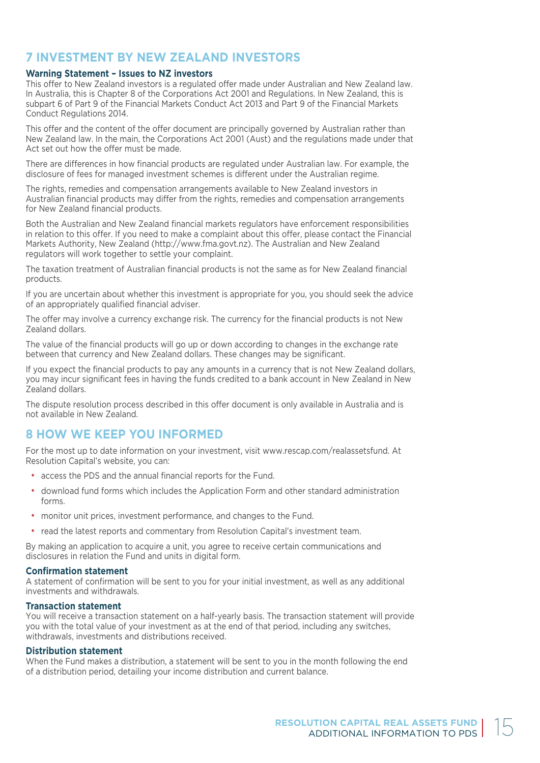# **7 INVESTMENT BY NEW ZEALAND INVESTORS**

#### **Warning Statement – Issues to NZ investors**

This offer to New Zealand investors is a regulated offer made under Australian and New Zealand law. In Australia, this is Chapter 8 of the Corporations Act 2001 and Regulations. In New Zealand, this is subpart 6 of Part 9 of the Financial Markets Conduct Act 2013 and Part 9 of the Financial Markets Conduct Regulations 2014.

This offer and the content of the offer document are principally governed by Australian rather than New Zealand law. In the main, the Corporations Act 2001 (Aust) and the regulations made under that Act set out how the offer must be made.

There are differences in how financial products are regulated under Australian law. For example, the disclosure of fees for managed investment schemes is different under the Australian regime.

The rights, remedies and compensation arrangements available to New Zealand investors in Australian financial products may differ from the rights, remedies and compensation arrangements for New Zealand financial products.

Both the Australian and New Zealand financial markets regulators have enforcement responsibilities in relation to this offer. If you need to make a complaint about this offer, please contact the Financial Markets Authority, New Zealand (http://www.fma.govt.nz). The Australian and New Zealand regulators will work together to settle your complaint.

The taxation treatment of Australian financial products is not the same as for New Zealand financial products.

If you are uncertain about whether this investment is appropriate for you, you should seek the advice of an appropriately qualified financial adviser.

The offer may involve a currency exchange risk. The currency for the financial products is not New Zealand dollars.

The value of the financial products will go up or down according to changes in the exchange rate between that currency and New Zealand dollars. These changes may be significant.

If you expect the financial products to pay any amounts in a currency that is not New Zealand dollars, you may incur significant fees in having the funds credited to a bank account in New Zealand in New Zealand dollars.

The dispute resolution process described in this offer document is only available in Australia and is not available in New Zealand.

# **8 HOW WE KEEP YOU INFORMED**

For the most up to date information on your investment, visit www.rescap.com/realassetsfund. At Resolution Capital's website, you can:

- access the PDS and the annual financial reports for the Fund.
- download fund forms which includes the Application Form and other standard administration forms.
- monitor unit prices, investment performance, and changes to the Fund.
- read the latest reports and commentary from Resolution Capital's investment team.

By making an application to acquire a unit, you agree to receive certain communications and disclosures in relation the Fund and units in digital form.

#### **Confirmation statement**

A statement of confirmation will be sent to you for your initial investment, as well as any additional investments and withdrawals.

#### **Transaction statement**

You will receive a transaction statement on a half-yearly basis. The transaction statement will provide you with the total value of your investment as at the end of that period, including any switches, withdrawals, investments and distributions received.

#### **Distribution statement**

When the Fund makes a distribution, a statement will be sent to you in the month following the end of a distribution period, detailing your income distribution and current balance.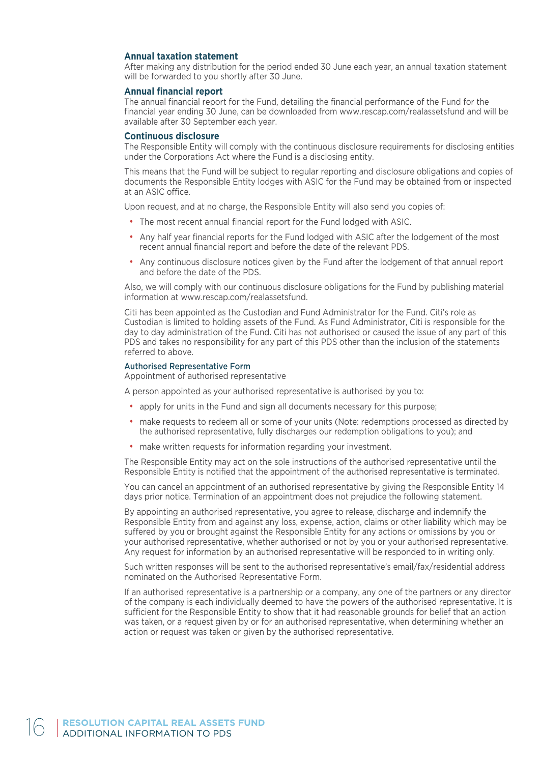#### **Annual taxation statement**

After making any distribution for the period ended 30 June each year, an annual taxation statement will be forwarded to you shortly after 30 June.

#### **Annual financial report**

The annual financial report for the Fund, detailing the financial performance of the Fund for the financial year ending 30 June, can be downloaded from www.rescap.com/realassetsfund and will be available after 30 September each year.

#### **Continuous disclosure**

The Responsible Entity will comply with the continuous disclosure requirements for disclosing entities under the Corporations Act where the Fund is a disclosing entity.

This means that the Fund will be subject to regular reporting and disclosure obligations and copies of documents the Responsible Entity lodges with ASIC for the Fund may be obtained from or inspected at an ASIC office.

Upon request, and at no charge, the Responsible Entity will also send you copies of:

- The most recent annual financial report for the Fund lodged with ASIC.
- Any half year financial reports for the Fund lodged with ASIC after the lodgement of the most recent annual financial report and before the date of the relevant PDS.
- Any continuous disclosure notices given by the Fund after the lodgement of that annual report and before the date of the PDS.

Also, we will comply with our continuous disclosure obligations for the Fund by publishing material information at www.rescap.com/realassetsfund.

Citi has been appointed as the Custodian and Fund Administrator for the Fund. Citi's role as Custodian is limited to holding assets of the Fund. As Fund Administrator, Citi is responsible for the day to day administration of the Fund. Citi has not authorised or caused the issue of any part of this PDS and takes no responsibility for any part of this PDS other than the inclusion of the statements referred to above.

#### Authorised Representative Form

Appointment of authorised representative

A person appointed as your authorised representative is authorised by you to:

- apply for units in the Fund and sign all documents necessary for this purpose;
- make requests to redeem all or some of your units (Note: redemptions processed as directed by the authorised representative, fully discharges our redemption obligations to you); and
- make written requests for information regarding your investment.

The Responsible Entity may act on the sole instructions of the authorised representative until the Responsible Entity is notified that the appointment of the authorised representative is terminated.

You can cancel an appointment of an authorised representative by giving the Responsible Entity 14 days prior notice. Termination of an appointment does not prejudice the following statement.

By appointing an authorised representative, you agree to release, discharge and indemnify the Responsible Entity from and against any loss, expense, action, claims or other liability which may be suffered by you or brought against the Responsible Entity for any actions or omissions by you or your authorised representative, whether authorised or not by you or your authorised representative. Any request for information by an authorised representative will be responded to in writing only.

Such written responses will be sent to the authorised representative's email/fax/residential address nominated on the Authorised Representative Form.

If an authorised representative is a partnership or a company, any one of the partners or any director of the company is each individually deemed to have the powers of the authorised representative. It is sufficient for the Responsible Entity to show that it had reasonable grounds for belief that an action was taken, or a request given by or for an authorised representative, when determining whether an action or request was taken or given by the authorised representative.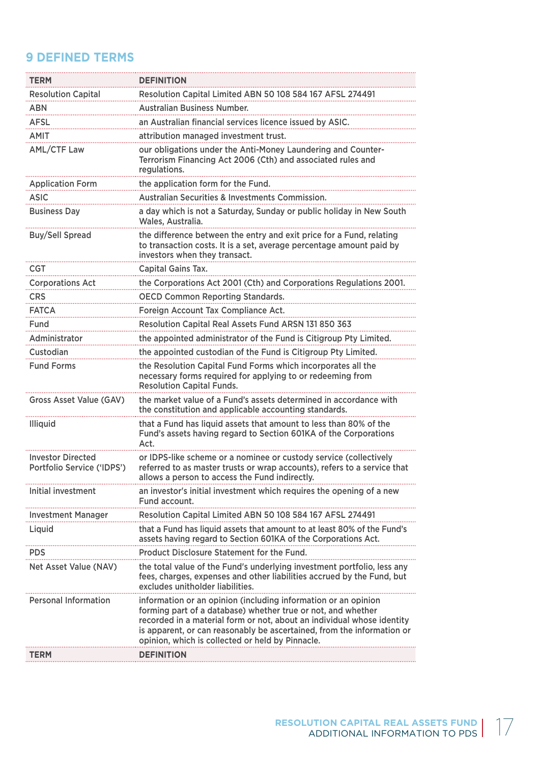# **9 DEFINED TERMS**

| <b>TERM</b>                                            | <b>DEFINITION</b>                                                                                                                                                                                                                                                                                                                      |
|--------------------------------------------------------|----------------------------------------------------------------------------------------------------------------------------------------------------------------------------------------------------------------------------------------------------------------------------------------------------------------------------------------|
| <b>Resolution Capital</b>                              | Resolution Capital Limited ABN 50 108 584 167 AFSL 274491                                                                                                                                                                                                                                                                              |
| ABN                                                    | <b>Australian Business Number.</b>                                                                                                                                                                                                                                                                                                     |
| <b>AFSL</b>                                            | an Australian financial services licence issued by ASIC.                                                                                                                                                                                                                                                                               |
| AMIT                                                   | attribution managed investment trust.                                                                                                                                                                                                                                                                                                  |
| <b>AML/CTF Law</b>                                     | our obligations under the Anti-Money Laundering and Counter-                                                                                                                                                                                                                                                                           |
|                                                        | Terrorism Financing Act 2006 (Cth) and associated rules and<br>regulations.                                                                                                                                                                                                                                                            |
| <b>Application Form</b>                                | the application form for the Fund.                                                                                                                                                                                                                                                                                                     |
| <b>ASIC</b>                                            | <b>Australian Securities &amp; Investments Commission.</b>                                                                                                                                                                                                                                                                             |
| <b>Business Day</b>                                    | a day which is not a Saturday, Sunday or public holiday in New South<br>Wales, Australia.                                                                                                                                                                                                                                              |
| <b>Buy/Sell Spread</b>                                 | the difference between the entry and exit price for a Fund, relating<br>to transaction costs. It is a set, average percentage amount paid by<br>investors when they transact.                                                                                                                                                          |
| CGT                                                    | Capital Gains Tax.                                                                                                                                                                                                                                                                                                                     |
| <b>Corporations Act</b>                                | the Corporations Act 2001 (Cth) and Corporations Regulations 2001.                                                                                                                                                                                                                                                                     |
| <b>CRS</b>                                             | <b>OECD Common Reporting Standards.</b>                                                                                                                                                                                                                                                                                                |
| <b>FATCA</b>                                           | Foreign Account Tax Compliance Act.                                                                                                                                                                                                                                                                                                    |
| Fund                                                   | Resolution Capital Real Assets Fund ARSN 131 850 363                                                                                                                                                                                                                                                                                   |
| Administrator                                          | the appointed administrator of the Fund is Citigroup Pty Limited.                                                                                                                                                                                                                                                                      |
| Custodian                                              | the appointed custodian of the Fund is Citigroup Pty Limited.                                                                                                                                                                                                                                                                          |
| <b>Fund Forms</b>                                      | the Resolution Capital Fund Forms which incorporates all the<br>necessary forms required for applying to or redeeming from<br><b>Resolution Capital Funds.</b>                                                                                                                                                                         |
| Gross Asset Value (GAV)                                | the market value of a Fund's assets determined in accordance with<br>the constitution and applicable accounting standards.                                                                                                                                                                                                             |
| <b>Illiquid</b>                                        | that a Fund has liquid assets that amount to less than 80% of the<br>Fund's assets having regard to Section 601KA of the Corporations<br>Act.                                                                                                                                                                                          |
| <b>Investor Directed</b><br>Portfolio Service ('IDPS') | or IDPS-like scheme or a nominee or custody service (collectively<br>referred to as master trusts or wrap accounts), refers to a service that<br>allows a person to access the Fund indirectly.                                                                                                                                        |
| Initial investment                                     | an investor's initial investment which requires the opening of a new<br>Fund account.                                                                                                                                                                                                                                                  |
| <b>Investment Manager</b>                              | Resolution Capital Limited ABN 50 108 584 167 AFSL 274491                                                                                                                                                                                                                                                                              |
| Liquid                                                 | that a Fund has liquid assets that amount to at least 80% of the Fund's<br>assets having regard to Section 601KA of the Corporations Act.                                                                                                                                                                                              |
| <b>PDS</b>                                             | Product Disclosure Statement for the Fund.                                                                                                                                                                                                                                                                                             |
| Net Asset Value (NAV)                                  | the total value of the Fund's underlying investment portfolio, less any<br>fees, charges, expenses and other liabilities accrued by the Fund, but<br>excludes unitholder liabilities.                                                                                                                                                  |
| <b>Personal Information</b>                            | information or an opinion (including information or an opinion<br>forming part of a database) whether true or not, and whether<br>recorded in a material form or not, about an individual whose identity<br>is apparent, or can reasonably be ascertained, from the information or<br>opinion, which is collected or held by Pinnacle. |
| TERM                                                   | <b>DEFINITION</b>                                                                                                                                                                                                                                                                                                                      |
|                                                        |                                                                                                                                                                                                                                                                                                                                        |